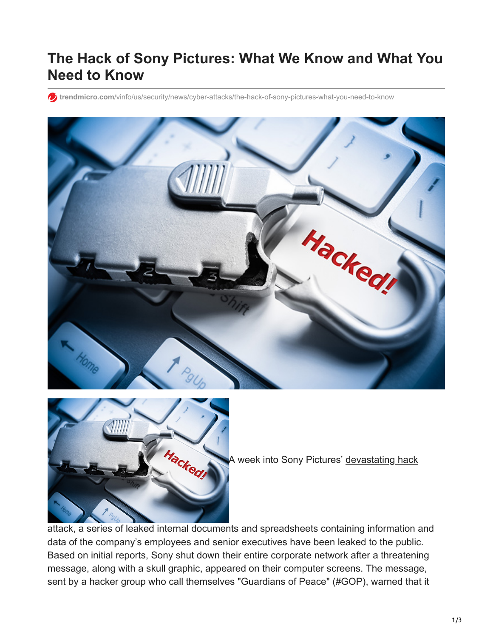## **The Hack of Sony Pictures: What We Know and What You Need to Know**

**trendmicro.com**[/vinfo/us/security/news/cyber-attacks/the-hack-of-sony-pictures-what-you-need-to-know](https://www.trendmicro.com/vinfo/us/security/news/cyber-attacks/the-hack-of-sony-pictures-what-you-need-to-know)





A week into Sony Pictures' [devastating hack](http://www.bbc.com/news/technology-30189029)

attack, a series of leaked internal documents and spreadsheets containing information and data of the company's employees and senior executives have been leaked to the public. Based on initial reports, Sony shut down their entire corporate network after a threatening message, along with a skull graphic, appeared on their computer screens. The message, sent by a hacker group who call themselves "Guardians of Peace" (#GOP), warned that it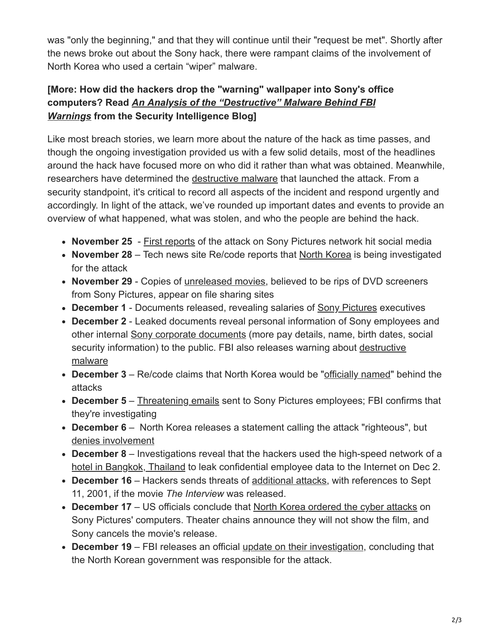was "only the beginning," and that they will continue until their "request be met". Shortly after the news broke out about the Sony hack, there were rampant claims of the involvement of North Korea who used a certain "wiper" malware.

## **[More: How did the hackers drop the "warning" wallpaper into Sony's office computers? Read** *[An Analysis of the "Destructive" Malware Behind FBI](http://blog.trendmicro.com/trendlabs-security-intelligence/an-analysis-of-the-destructive-malware-behind-fbi-warnings/) Warnings* **from the Security Intelligence Blog]**

Like most breach stories, we learn more about the nature of the hack as time passes, and though the ongoing investigation provided us with a few solid details, most of the headlines around the hack have focused more on who did it rather than what was obtained. Meanwhile, researchers have determined the [destructive malware](http://blog.trendmicro.com/trendlabs-security-intelligence/an-analysis-of-the-destructive-malware-behind-fbi-warnings/) that launched the attack. From a security standpoint, it's critical to record all aspects of the incident and respond urgently and accordingly. In light of the attack, we've rounded up important dates and events to provide an overview of what happened, what was stolen, and who the people are behind the hack.

- **November 25** - [First reports](http://www.bbc.com/news/technology-30189029) of the attack on Sony Pictures network hit social media
- **November 28** Tech news site Re/code reports that [North Korea](http://recode.net/2014/11/28/sony-pictures-investigates-north-korea-link-in-hack-attack/) is being investigated for the attack
- **November 29** Copies of [unreleased movies,](http://variety.com/2014/digital/news/new-sony-films-pirated-in-wake-of-hack-attack-1201367036/#u=http://variety.com/2014/digital/news/new-sony-films-pirated-in-wake-of-hack-attack-1201367036;k=pmc-adi-31bb2464aad8b905af7a81e1d57b77ae) believed to be rips of DVD screeners from Sony Pictures, appear on file sharing sites
- **December 1** Documents released, revealing salaries of [Sony Pictures](http://fusion.net/story/30789/hacked-documents-reveal-a-hollywood-studios-stunning-gender-and-race-gap/) executives
- **December 2** Leaked documents reveal personal information of Sony employees and other internal [Sony corporate documents](http://fusion.net/story/30850/more-from-the-sony-pictures-hack-budgets-layoffs-hr-scripts-and-3800-social-security-numbers/) (more pay details, name, birth dates, social [security information\) to the public. FBI also releases warning about destructive](http://www.reuters.com/article/2014/12/02/us-sony-cybersecurity-malware-idUSKCN0JF3FE20141202) malware
- **December 3** Re/code claims that North Korea would be "[officially named](http://recode.net/2014/12/03/sony-to-officially-name-north-korea-as-source-of-hack-attack/)" behind the attacks
- **December 5** – [Threatening emails](http://www.cnet.com/news/fbi-confirms-threatening-emails-sent-to-sony-employees/) sent to Sony Pictures employees; FBI confirms that they're investigating
- **December 6** North Korea releases a statement calling the attack "righteous", but [denies involvement](http://www.theguardian.com/world/2014/dec/07/north-korea-sony-hack-a-righteous-deed-but-we-didnt-do-it)
- **December 8** Investigations reveal that the hackers used the high-speed network of a [hotel in Bangkok, Thailand](http://www.bloomberg.com/news/2014-12-07/sony-s-darkseoul-breach-stretched-from-thai-hotel-to-hollywood.html) to leak confidential employee data to the Internet on Dec 2.
- **December 16** Hackers sends threats of [additional attacks,](http://www.nytimes.com/2014/12/17/business/media/sony-weighs-terrorism-threat-against-opening-of-the-interview.html) with references to Sept 11, 2001, if the movie *The Interview* was released.
- **December 17** US officials conclude that [North Korea ordered the cyber attacks](http://www.nytimes.com/2014/12/18/world/asia/us-links-north-korea-to-sony-hacking.html) on Sony Pictures' computers. Theater chains announce they will not show the film, and Sony cancels the movie's release.
- **December 19** FBI releases an official [update on their investigation,](http://www.fbi.gov/news/pressrel/press-releases/update-on-sony-investigation) concluding that the North Korean government was responsible for the attack.